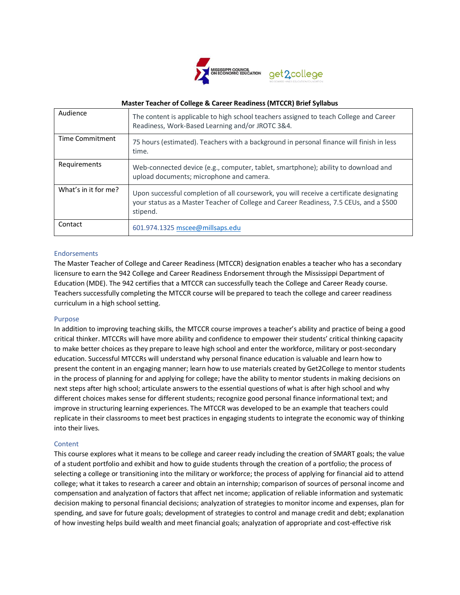

## **Master Teacher of College & Career Readiness (MTCCR) Brief Syllabus**

| Audience             | The content is applicable to high school teachers assigned to teach College and Career<br>Readiness, Work-Based Learning and/or JROTC 3&4.                                                     |
|----------------------|------------------------------------------------------------------------------------------------------------------------------------------------------------------------------------------------|
| Time Commitment      | 75 hours (estimated). Teachers with a background in personal finance will finish in less<br>time.                                                                                              |
| Requirements         | Web-connected device (e.g., computer, tablet, smartphone); ability to download and<br>upload documents; microphone and camera.                                                                 |
| What's in it for me? | Upon successful completion of all coursework, you will receive a certificate designating<br>your status as a Master Teacher of College and Career Readiness, 7.5 CEUs, and a \$500<br>stipend. |
| Contact              | 601.974.1325 mscee@millsaps.edu                                                                                                                                                                |

## Endorsements

The Master Teacher of College and Career Readiness (MTCCR) designation enables a teacher who has a secondary licensure to earn the 942 College and Career Readiness Endorsement through the Mississippi Department of Education (MDE). The 942 certifies that a MTCCR can successfully teach the College and Career Ready course. Teachers successfully completing the MTCCR course will be prepared to teach the college and career readiness curriculum in a high school setting.

#### Purpose

In addition to improving teaching skills, the MTCCR course improves a teacher's ability and practice of being a good critical thinker. MTCCRs will have more ability and confidence to empower their students' critical thinking capacity to make better choices as they prepare to leave high school and enter the workforce, military or post-secondary education. Successful MTCCRs will understand why personal finance education is valuable and learn how to present the content in an engaging manner; learn how to use materials created by Get2College to mentor students in the process of planning for and applying for college; have the ability to mentor students in making decisions on next steps after high school; articulate answers to the essential questions of what is after high school and why different choices makes sense for different students; recognize good personal finance informational text; and improve in structuring learning experiences. The MTCCR was developed to be an example that teachers could replicate in their classrooms to meet best practices in engaging students to integrate the economic way of thinking into their lives.

#### **Content**

This course explores what it means to be college and career ready including the creation of SMART goals; the value of a student portfolio and exhibit and how to guide students through the creation of a portfolio; the process of selecting a college or transitioning into the military or workforce; the process of applying for financial aid to attend college; what it takes to research a career and obtain an internship; comparison of sources of personal income and compensation and analyzation of factors that affect net income; application of reliable information and systematic decision making to personal financial decisions; analyzation of strategies to monitor income and expenses, plan for spending, and save for future goals; development of strategies to control and manage credit and debt; explanation of how investing helps build wealth and meet financial goals; analyzation of appropriate and cost-effective risk